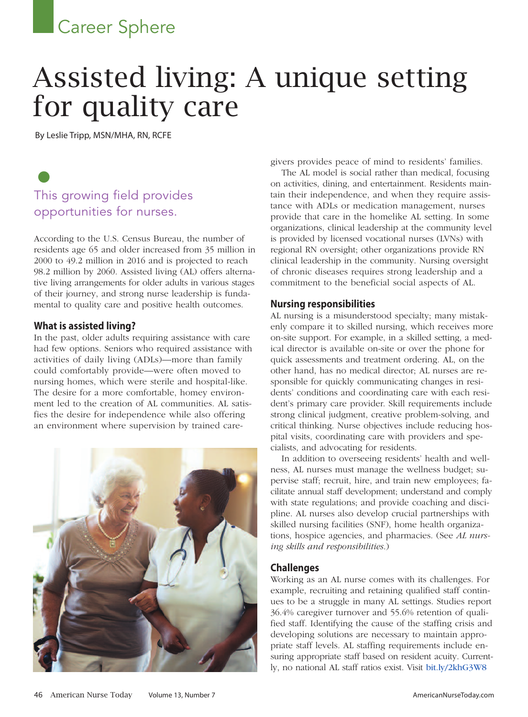## **Career Sphere**

# Assisted living: A unique setting for quality care

By Leslie Tripp, MSN/MHA, RN, RCFE

## • This growing field provides opportunities for nurses.

According to the U.S. Census Bureau, the number of residents age 65 and older increased from 35 million in 2000 to 49.2 million in 2016 and is projected to reach 98.2 million by 2060. Assisted living (AL) offers alternative living arrangements for older adults in various stages of their journey, and strong nurse leadership is fundamental to quality care and positive health outcomes.

#### **What is assisted living?**

In the past, older adults requiring assistance with care had few options. Seniors who required assistance with activities of daily living (ADLs)—more than family could comfortably provide—were often moved to nursing homes, which were sterile and hospital-like. The desire for a more comfortable, homey environment led to the creation of AL communities. AL satisfies the desire for independence while also offering an environment where supervision by trained care-



givers provides peace of mind to residents' families.

The AL model is social rather than medical, focusing on activities, dining, and entertainment. Residents maintain their independence, and when they require assistance with ADLs or medication management, nurses provide that care in the homelike AL setting. In some organizations, clinical leadership at the community level is provided by licensed vocational nurses (LVNs) with regional RN oversight; other organizations provide RN clinical leadership in the community. Nursing oversight of chronic diseases requires strong leadership and a commitment to the beneficial social aspects of AL.

#### **Nursing responsibilities**

AL nursing is a misunderstood specialty; many mistakenly compare it to skilled nursing, which receives more on-site support. For example, in a skilled setting, a medical director is available on-site or over the phone for quick assessments and treatment ordering. AL, on the other hand, has no medical director; AL nurses are responsible for quickly communicating changes in residents' conditions and coordinating care with each resident's primary care provider. Skill requirements include strong clinical judgment, creative problem-solving, and critical thinking. Nurse objectives include reducing hospital visits, coordinating care with providers and specialists, and advocating for residents.

In addition to overseeing residents' health and wellness, AL nurses must manage the wellness budget; supervise staff; recruit, hire, and train new employees; facilitate annual staff development; understand and comply with state regulations; and provide coaching and discipline. AL nurses also develop crucial partnerships with skilled nursing facilities (SNF), home health organizations, hospice agencies, and pharmacies. (See *AL nursing skills and responsibilities*.)

#### **Challenges**

Working as an AL nurse comes with its challenges. For example, recruiting and retaining qualified staff continues to be a struggle in many AL settings. Studies report 36.4% caregiver turnover and 55.6% retention of qualified staff. Identifying the cause of the staffing crisis and developing solutions are necessary to maintain appropriate staff levels. AL staffing requirements include ensuring appropriate staff based on resident acuity. Currently, no national AL staff ratios exist. Visit [bit.ly/2khG3W8](http://bit.ly/2khG3W8)